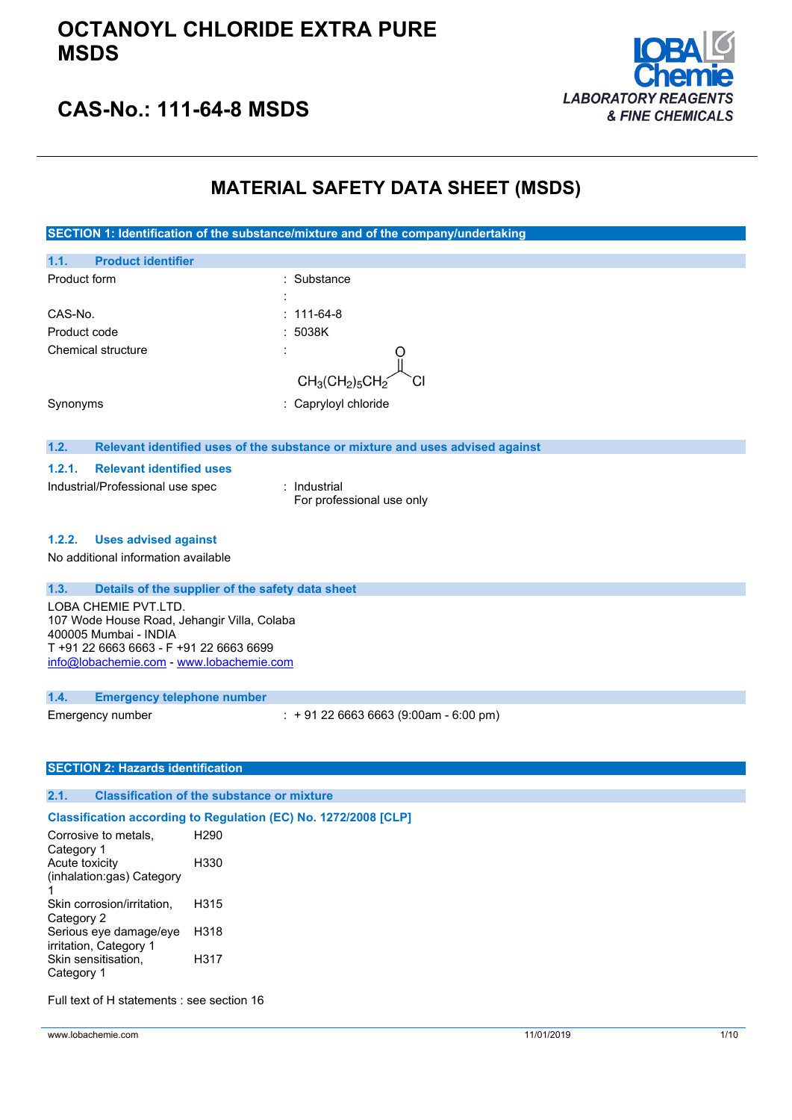### **OCTANOYL CHLORIDE EXTRA PURE MSDS**



## **CAS-No.: 111-64-8 MSDS**

### **MATERIAL SAFETY DATA SHEET (MSDS)**

**SECTION 1: Identification of the substance/mixture and of the company/undertaking 1.1. Product identifier** Product form : Substance : Substance : CAS-No. : 111-64-8 Product code : 5038K Chemical structure  $CH<sub>3</sub>(CH<sub>2</sub>)<sub>5</sub>CH$ Synonyms : Capryloyl chloride **1.2. Relevant identified uses of the substance or mixture and uses advised against 1.2.1. Relevant identified uses** Industrial/Professional use spec : Industrial For professional use only **1.2.2. Uses advised against** No additional information available **1.3. Details of the supplier of the safety data sheet** LOBA CHEMIE PVT.LTD. 107 Wode House Road, Jehangir Villa, Colaba 400005 Mumbai - INDIA T +91 22 6663 6663 - F +91 22 6663 6699 [info@lobachemie.com](mailto:info@lobachemie.com) - <www.lobachemie.com> **1.4. Emergency telephone number** Emergency number : + 91 22 6663 6663 (9:00am - 6:00 pm) **SECTION 2: Hazards identification 2.1. Classification of the substance or mixture Classification according to Regulation (EC) No. 1272/2008 [CLP]** Corrosive to metals, H290 Category 1 Acute toxicity H330 (inhalation:gas) Category 1 Skin corrosion/irritation,  $H315$ 

| וויוויוויווטוסטוויטט ווארט, | .    |
|-----------------------------|------|
| Category 2                  |      |
| Serious eye damage/eye      | H318 |
| irritation, Category 1      |      |
| Skin sensitisation,         | H317 |
| Category 1                  |      |

Full text of H statements : see section 16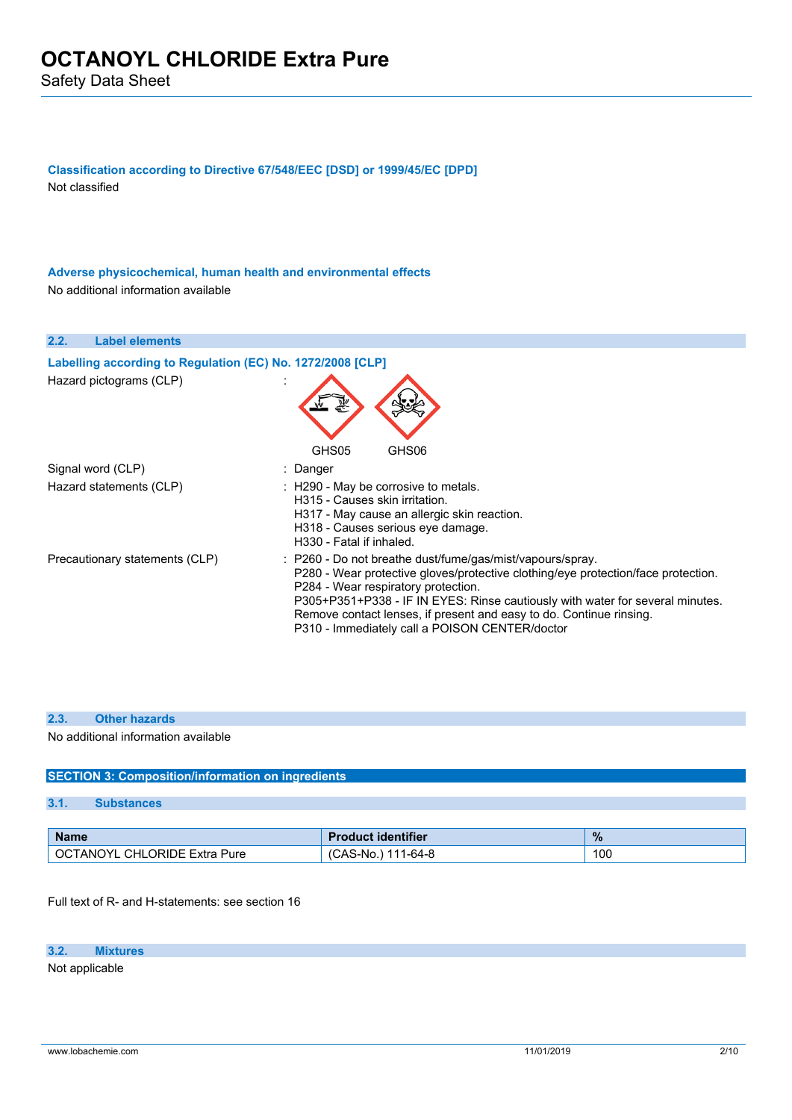**Classification according to Directive 67/548/EEC [DSD] or 1999/45/EC [DPD]** Not classified

**Adverse physicochemical, human health and environmental effects** No additional information available

| 2.2.                    | <b>Label elements</b>                                      |                                                                                                                                                                                                                                                                                                                                                                                                 |
|-------------------------|------------------------------------------------------------|-------------------------------------------------------------------------------------------------------------------------------------------------------------------------------------------------------------------------------------------------------------------------------------------------------------------------------------------------------------------------------------------------|
|                         | Labelling according to Regulation (EC) No. 1272/2008 [CLP] |                                                                                                                                                                                                                                                                                                                                                                                                 |
| Hazard pictograms (CLP) |                                                            | GHS05<br>GHS06                                                                                                                                                                                                                                                                                                                                                                                  |
| Signal word (CLP)       |                                                            | : Danger                                                                                                                                                                                                                                                                                                                                                                                        |
|                         |                                                            |                                                                                                                                                                                                                                                                                                                                                                                                 |
| Hazard statements (CLP) |                                                            | : H290 - May be corrosive to metals.<br>H315 - Causes skin irritation.<br>H317 - May cause an allergic skin reaction.<br>H318 - Causes serious eye damage.<br>H330 - Fatal if inhaled.                                                                                                                                                                                                          |
|                         | Precautionary statements (CLP)                             | : P260 - Do not breathe dust/fume/gas/mist/vapours/spray.<br>P280 - Wear protective gloves/protective clothing/eye protection/face protection.<br>P284 - Wear respiratory protection.<br>P305+P351+P338 - IF IN EYES: Rinse cautiously with water for several minutes.<br>Remove contact lenses, if present and easy to do. Continue rinsing.<br>P310 - Immediately call a POISON CENTER/doctor |

#### **2.3. Other hazards**

No additional information available

#### **SECTION 3: Composition/information on ingredients**

#### **3.1. Substances**

| <b>Name</b>                                      | roduct identifier                | $\%$ |
|--------------------------------------------------|----------------------------------|------|
| .TANOYI<br><b>CHLORIDE Extra</b><br>-OCT<br>Pure | 1-64-8<br>44 A<br>`AS-No.<br>UAJ | 100  |

Full text of R- and H-statements: see section 16

#### **3.2. Mixtures**

Not applicable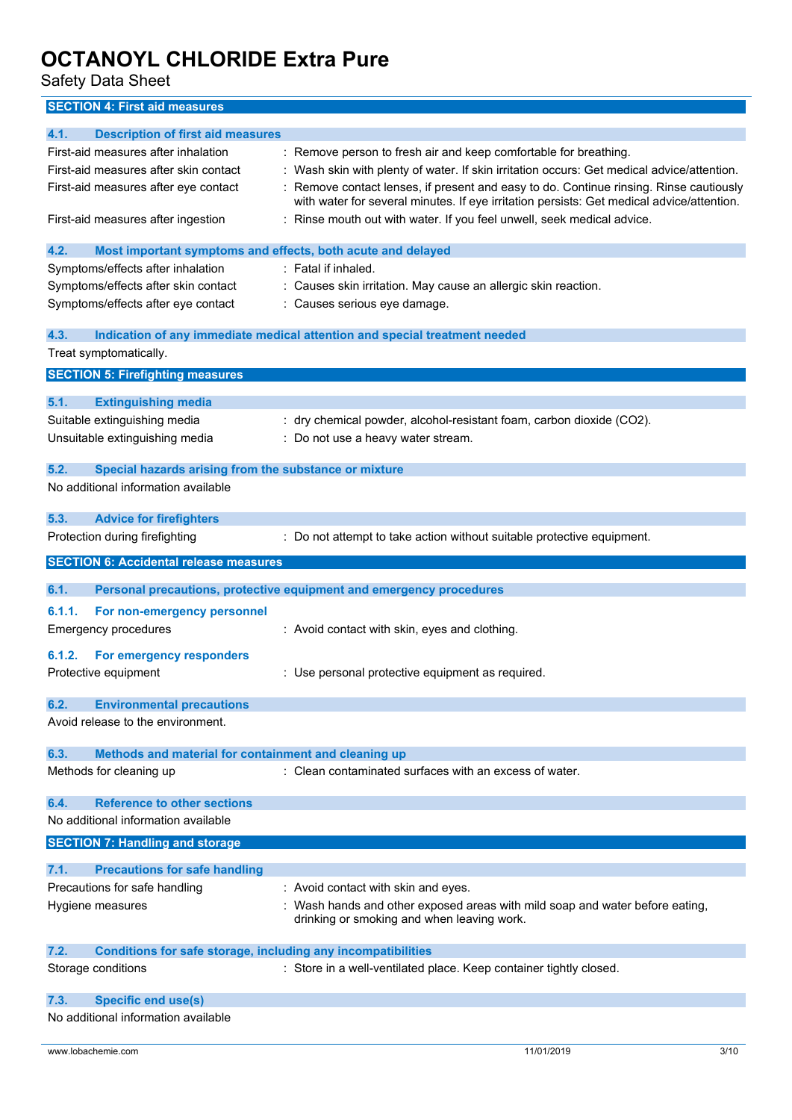Safety Data Sheet

**SECTION 4: First aid measures**

| 4.1.<br><b>Description of first aid measures</b>                            |                                                                                            |
|-----------------------------------------------------------------------------|--------------------------------------------------------------------------------------------|
| First-aid measures after inhalation                                         | : Remove person to fresh air and keep comfortable for breathing.                           |
| First-aid measures after skin contact                                       | : Wash skin with plenty of water. If skin irritation occurs: Get medical advice/attention. |
| First-aid measures after eye contact                                        | Remove contact lenses, if present and easy to do. Continue rinsing. Rinse cautiously       |
|                                                                             | with water for several minutes. If eye irritation persists: Get medical advice/attention.  |
| First-aid measures after ingestion                                          | : Rinse mouth out with water. If you feel unwell, seek medical advice.                     |
|                                                                             |                                                                                            |
| 4.2.<br>Most important symptoms and effects, both acute and delayed         |                                                                                            |
| Symptoms/effects after inhalation                                           | : Fatal if inhaled.                                                                        |
| Symptoms/effects after skin contact                                         | : Causes skin irritation. May cause an allergic skin reaction.                             |
| Symptoms/effects after eye contact                                          | Causes serious eye damage.                                                                 |
|                                                                             |                                                                                            |
| 4.3.                                                                        | Indication of any immediate medical attention and special treatment needed                 |
| Treat symptomatically.                                                      |                                                                                            |
|                                                                             |                                                                                            |
| <b>SECTION 5: Firefighting measures</b>                                     |                                                                                            |
| 5.1.<br><b>Extinguishing media</b>                                          |                                                                                            |
| Suitable extinguishing media                                                | dry chemical powder, alcohol-resistant foam, carbon dioxide (CO2).                         |
| Unsuitable extinguishing media                                              | : Do not use a heavy water stream.                                                         |
|                                                                             |                                                                                            |
| 5.2.<br>Special hazards arising from the substance or mixture               |                                                                                            |
| No additional information available                                         |                                                                                            |
|                                                                             |                                                                                            |
| 5.3.<br><b>Advice for firefighters</b>                                      |                                                                                            |
| Protection during firefighting                                              | : Do not attempt to take action without suitable protective equipment.                     |
|                                                                             |                                                                                            |
| <b>SECTION 6: Accidental release measures</b>                               |                                                                                            |
|                                                                             |                                                                                            |
|                                                                             |                                                                                            |
| 6.1.                                                                        | Personal precautions, protective equipment and emergency procedures                        |
| 6.1.1.<br>For non-emergency personnel                                       |                                                                                            |
| <b>Emergency procedures</b>                                                 | : Avoid contact with skin, eyes and clothing.                                              |
|                                                                             |                                                                                            |
| For emergency responders<br>6.1.2.                                          |                                                                                            |
| Protective equipment                                                        | : Use personal protective equipment as required.                                           |
|                                                                             |                                                                                            |
| 6.2.<br><b>Environmental precautions</b>                                    |                                                                                            |
| Avoid release to the environment.                                           |                                                                                            |
|                                                                             |                                                                                            |
| 6.3.<br>Methods and material for containment and cleaning up                |                                                                                            |
| Methods for cleaning up                                                     | : Clean contaminated surfaces with an excess of water.                                     |
|                                                                             |                                                                                            |
| <b>Reference to other sections</b><br>6.4.                                  |                                                                                            |
| No additional information available                                         |                                                                                            |
| <b>SECTION 7: Handling and storage</b>                                      |                                                                                            |
|                                                                             |                                                                                            |
| 7.1.<br><b>Precautions for safe handling</b>                                |                                                                                            |
| Precautions for safe handling                                               | : Avoid contact with skin and eyes.                                                        |
| Hygiene measures                                                            | Wash hands and other exposed areas with mild soap and water before eating,                 |
|                                                                             | drinking or smoking and when leaving work.                                                 |
|                                                                             |                                                                                            |
| 7.2.<br><b>Conditions for safe storage, including any incompatibilities</b> |                                                                                            |
| Storage conditions                                                          | : Store in a well-ventilated place. Keep container tightly closed.                         |
|                                                                             |                                                                                            |
| <b>Specific end use(s)</b><br>7.3.<br>No additional information available   |                                                                                            |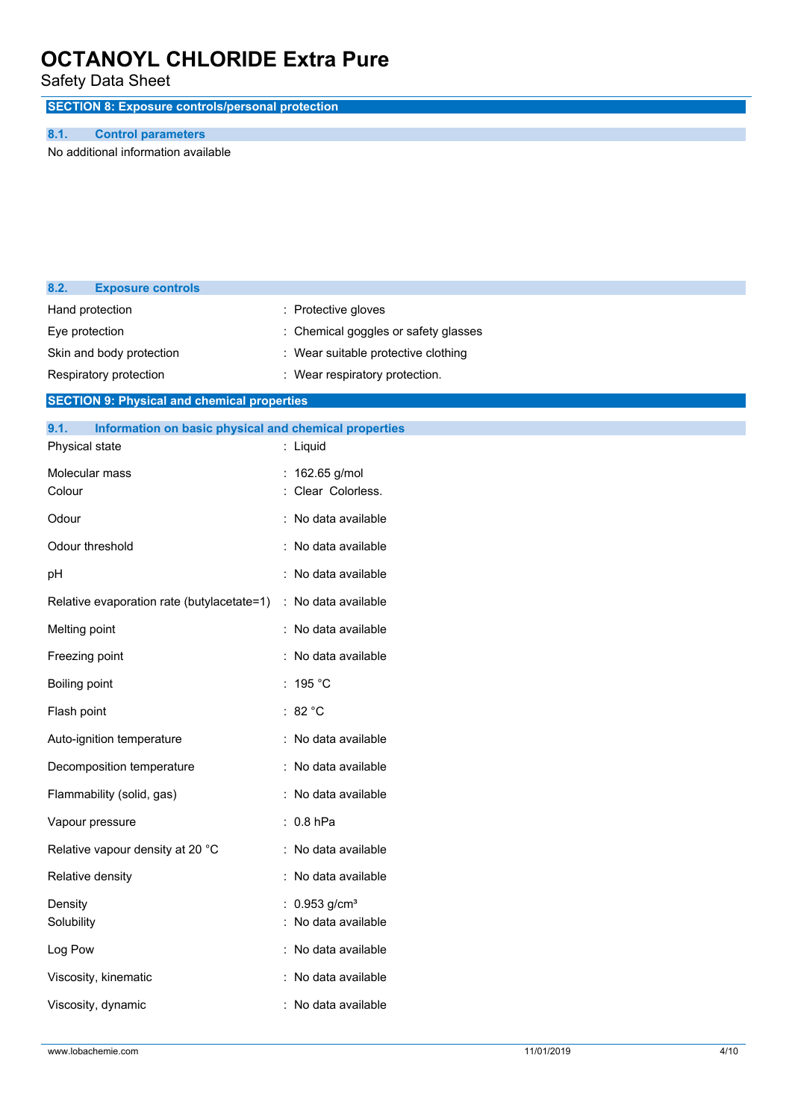Safety Data Sheet

**SECTION 8: Exposure controls/personal protection**

#### **8.1. Control parameters**

No additional information available

| 8.2.          | <b>Exposure controls</b>                              |                                     |
|---------------|-------------------------------------------------------|-------------------------------------|
|               | Hand protection                                       | : Protective gloves                 |
|               | Eye protection                                        | Chemical goggles or safety glasses  |
|               | Skin and body protection                              | : Wear suitable protective clothing |
|               | Respiratory protection                                | : Wear respiratory protection.      |
|               | <b>SECTION 9: Physical and chemical properties</b>    |                                     |
| 9.1.          | Information on basic physical and chemical properties |                                     |
|               | Physical state                                        | : Liquid                            |
|               | Molecular mass                                        | : 162.65 g/mol                      |
| Colour        |                                                       | Clear Colorless.                    |
| Odour         |                                                       | : No data available                 |
|               | Odour threshold                                       | : No data available                 |
| pН            |                                                       | : No data available                 |
|               | Relative evaporation rate (butylacetate=1)            | : No data available                 |
| Melting point |                                                       | : No data available                 |
|               | Freezing point                                        | : No data available                 |
| Boiling point |                                                       | : 195 °C                            |
| Flash point   |                                                       | : $82 °C$                           |
|               | Auto-ignition temperature                             | : No data available                 |
|               | Decomposition temperature                             | : No data available                 |
|               | Flammability (solid, gas)                             | : No data available                 |
|               | Vapour pressure                                       | $: 0.8$ hPa                         |
|               | Relative vapour density at 20 °C                      | : No data available                 |
|               | Relative density                                      | : No data available                 |
| Density       |                                                       | $0.953$ g/cm <sup>3</sup>           |
| Solubility    |                                                       | : No data available                 |
| Log Pow       |                                                       | : No data available                 |
|               | Viscosity, kinematic                                  | : No data available                 |
|               | Viscosity, dynamic                                    | : No data available                 |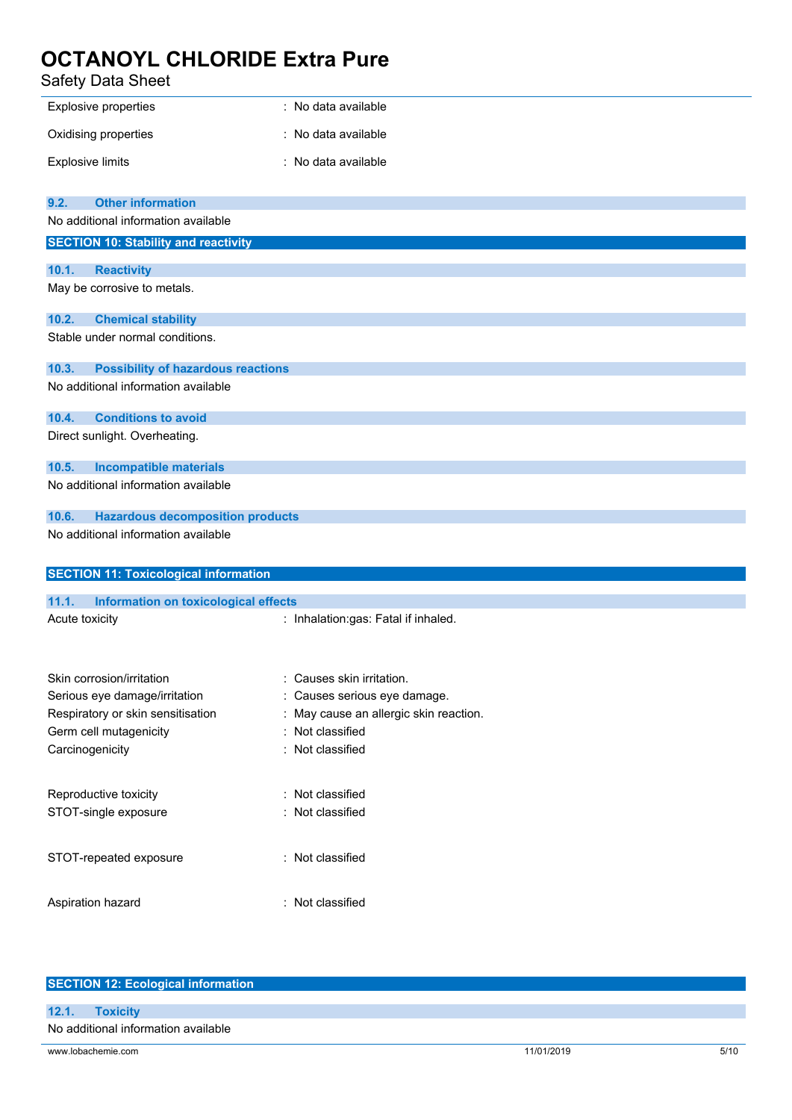| Safety Data Sheet                                  |                                        |  |
|----------------------------------------------------|----------------------------------------|--|
| Explosive properties                               | : No data available                    |  |
| Oxidising properties                               | No data available                      |  |
| <b>Explosive limits</b>                            | : No data available                    |  |
| 9.2.<br><b>Other information</b>                   |                                        |  |
| No additional information available                |                                        |  |
| <b>SECTION 10: Stability and reactivity</b>        |                                        |  |
| 10.1.<br><b>Reactivity</b>                         |                                        |  |
| May be corrosive to metals.                        |                                        |  |
| <b>Chemical stability</b><br>10.2.                 |                                        |  |
| Stable under normal conditions.                    |                                        |  |
| <b>Possibility of hazardous reactions</b><br>10.3. |                                        |  |
| No additional information available                |                                        |  |
| <b>Conditions to avoid</b><br>10.4.                |                                        |  |
| Direct sunlight. Overheating.                      |                                        |  |
| <b>Incompatible materials</b><br>10.5.             |                                        |  |
| No additional information available                |                                        |  |
| 10.6.<br><b>Hazardous decomposition products</b>   |                                        |  |
| No additional information available                |                                        |  |
| <b>SECTION 11: Toxicological information</b>       |                                        |  |
| 11.1.<br>Information on toxicological effects      |                                        |  |
| Acute toxicity                                     | : Inhalation:gas: Fatal if inhaled.    |  |
|                                                    |                                        |  |
| Skin corrosion/irritation                          | : Causes skin irritation.              |  |
| Serious eye damage/irritation                      | Causes serious eye damage.             |  |
| Respiratory or skin sensitisation                  | : May cause an allergic skin reaction. |  |
| Germ cell mutagenicity                             | Not classified                         |  |
| Carcinogenicity                                    | Not classified                         |  |
| Reproductive toxicity                              | : Not classified                       |  |
| STOT-single exposure                               | Not classified                         |  |
| STOT-repeated exposure                             | : Not classified                       |  |
| Aspiration hazard                                  | : Not classified                       |  |
|                                                    |                                        |  |

| <b>SECTION 12: Ecological information</b> |            |      |  |
|-------------------------------------------|------------|------|--|
|                                           |            |      |  |
| 12.1.<br><b>Toxicity</b>                  |            |      |  |
| No additional information available       |            |      |  |
| www.lobachemie.com                        | 11/01/2019 | 5/10 |  |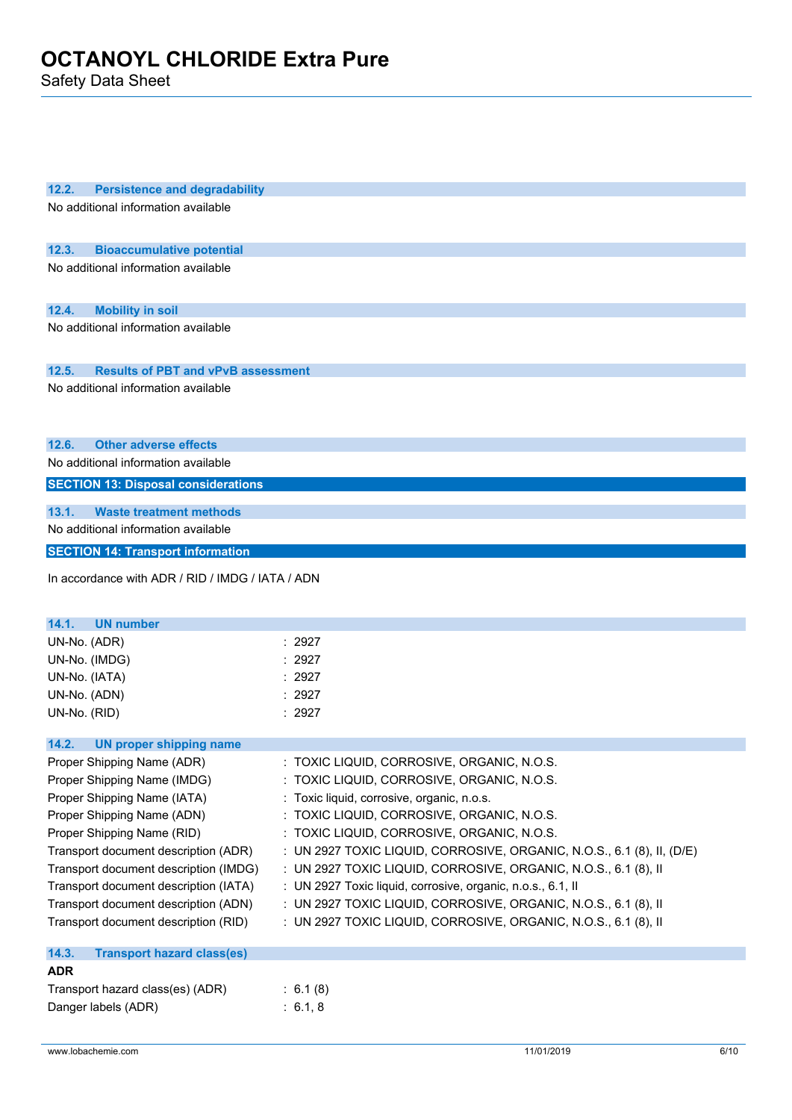Safety Data Sheet

| 12.2.<br><b>Persistence and degradability</b><br>No additional information available |                                                                        |
|--------------------------------------------------------------------------------------|------------------------------------------------------------------------|
|                                                                                      |                                                                        |
|                                                                                      |                                                                        |
| 12.3.<br><b>Bioaccumulative potential</b>                                            |                                                                        |
| No additional information available                                                  |                                                                        |
|                                                                                      |                                                                        |
| <b>Mobility in soil</b><br>12.4.                                                     |                                                                        |
| No additional information available                                                  |                                                                        |
|                                                                                      |                                                                        |
| 12.5.<br><b>Results of PBT and vPvB assessment</b>                                   |                                                                        |
| No additional information available                                                  |                                                                        |
|                                                                                      |                                                                        |
|                                                                                      |                                                                        |
| 12.6.<br><b>Other adverse effects</b>                                                |                                                                        |
| No additional information available                                                  |                                                                        |
| <b>SECTION 13: Disposal considerations</b>                                           |                                                                        |
|                                                                                      |                                                                        |
| 13.1.<br><b>Waste treatment methods</b>                                              |                                                                        |
| No additional information available                                                  |                                                                        |
| <b>SECTION 14: Transport information</b>                                             |                                                                        |
| In accordance with ADR / RID / IMDG / IATA / ADN                                     |                                                                        |
|                                                                                      |                                                                        |
|                                                                                      |                                                                        |
| 14.1.<br><b>UN number</b>                                                            |                                                                        |
| UN-No. (ADR)                                                                         | : 2927<br>: 2927                                                       |
| UN-No. (IMDG)                                                                        | : 2927                                                                 |
| UN-No. (IATA)<br>UN-No. (ADN)                                                        | : 2927                                                                 |
| UN-No. (RID)                                                                         | : 2927                                                                 |
|                                                                                      |                                                                        |
| 14.2.<br><b>UN proper shipping name</b>                                              |                                                                        |
| Proper Shipping Name (ADR)                                                           | : TOXIC LIQUID, CORROSIVE, ORGANIC, N.O.S.                             |
| Proper Shipping Name (IMDG)                                                          | : TOXIC LIQUID, CORROSIVE, ORGANIC, N.O.S.                             |
| Proper Shipping Name (IATA)                                                          | : Toxic liquid, corrosive, organic, n.o.s.                             |
| Proper Shipping Name (ADN)                                                           | : TOXIC LIQUID, CORROSIVE, ORGANIC, N.O.S.                             |
| Proper Shipping Name (RID)                                                           | : TOXIC LIQUID, CORROSIVE, ORGANIC, N.O.S.                             |
| Transport document description (ADR)                                                 | : UN 2927 TOXIC LIQUID, CORROSIVE, ORGANIC, N.O.S., 6.1 (8), II, (D/E) |
| Transport document description (IMDG)                                                | : UN 2927 TOXIC LIQUID, CORROSIVE, ORGANIC, N.O.S., 6.1 (8), II        |
| Transport document description (IATA)                                                | : UN 2927 Toxic liquid, corrosive, organic, n.o.s., 6.1, II            |
| Transport document description (ADN)                                                 | : UN 2927 TOXIC LIQUID, CORROSIVE, ORGANIC, N.O.S., 6.1 (8), II        |
| Transport document description (RID)                                                 | : UN 2927 TOXIC LIQUID, CORROSIVE, ORGANIC, N.O.S., 6.1 (8), II        |
|                                                                                      |                                                                        |
| 14.3.<br><b>Transport hazard class(es)</b>                                           |                                                                        |
| <b>ADR</b>                                                                           |                                                                        |
| Transport hazard class(es) (ADR)                                                     | : 6.1(8)                                                               |
| Danger labels (ADR)                                                                  | : 6.1, 8                                                               |
|                                                                                      |                                                                        |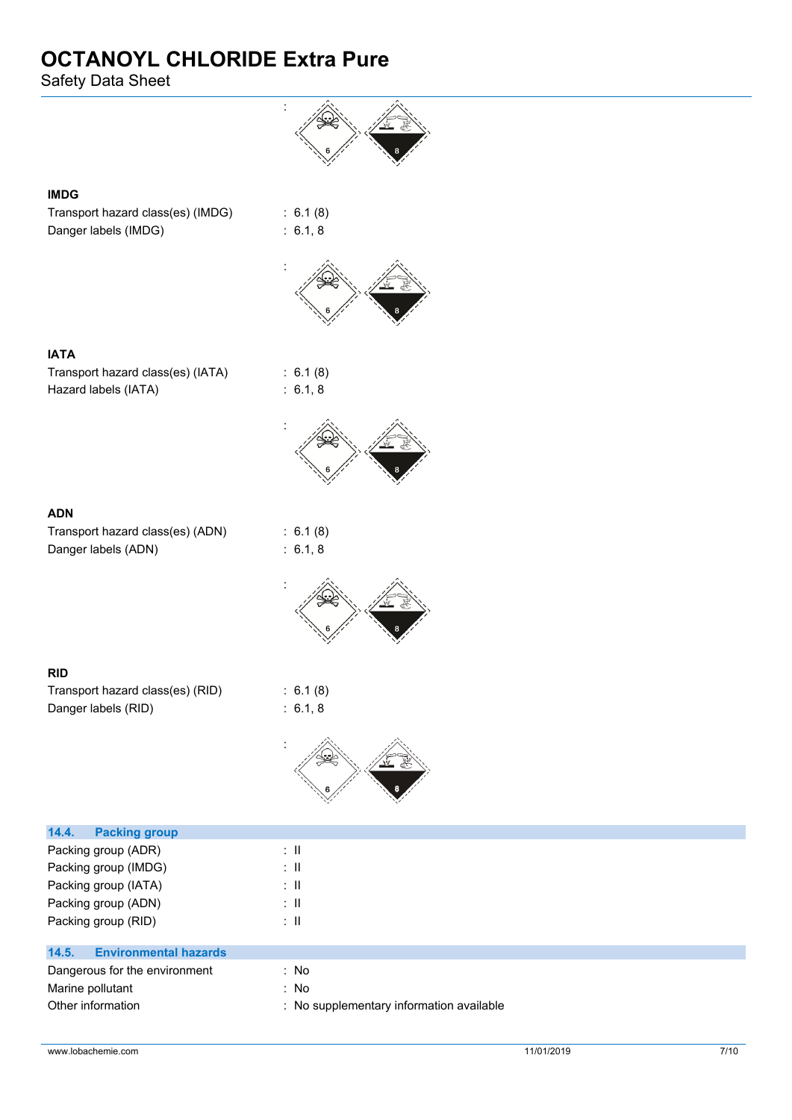Safety Data Sheet



#### **IMDG**

Transport hazard class(es) (IMDG) : 6.1 (8) Danger labels (IMDG) : 6.1, 8



:

**IATA** Transport hazard class(es) (IATA) : 6.1 (8) Hazard labels (IATA) : 6.1, 8



Transport hazard class(es) (ADN) : 6.1 (8) Danger labels (ADN) : 6.1, 8

:

#### **RID**

| Transport hazard class(es) (RID) | : 6.1(8)            |
|----------------------------------|---------------------|
| Danger labels (RID)              | $\therefore$ 6.1, 8 |



| <b>Packing group</b><br>14.4.         |                                          |
|---------------------------------------|------------------------------------------|
| Packing group (ADR)                   | ÷Ш                                       |
| Packing group (IMDG)                  | ÷Ш                                       |
| Packing group (IATA)                  | ÷Ш                                       |
| Packing group (ADN)                   | ÷Ш                                       |
| Packing group (RID)                   | ÷Ш                                       |
|                                       |                                          |
| 14.5.<br><b>Environmental hazards</b> |                                          |
| Dangerous for the environment         | : No                                     |
| Marine pollutant                      | : No                                     |
| Other information                     | : No supplementary information available |
|                                       |                                          |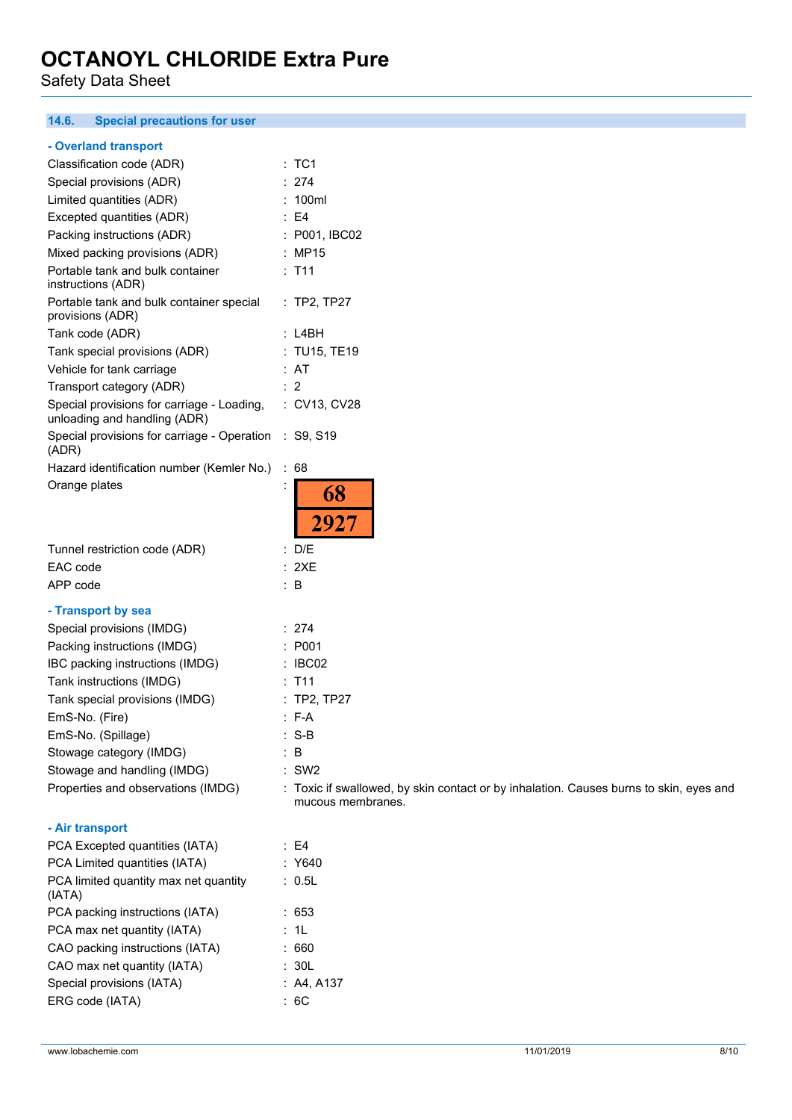Safety Data Sheet

#### **14.6. Special precautions for user**

#### **- Overland transport**

| Classification code (ADR)                                                     | : TC1                       |
|-------------------------------------------------------------------------------|-----------------------------|
| Special provisions (ADR)                                                      | 274                         |
| Limited quantities (ADR)                                                      | : 100ml                     |
| Excepted quantities (ADR)                                                     | : E4                        |
| Packing instructions (ADR)                                                    | : P001, IBC02               |
| Mixed packing provisions (ADR)                                                | : MP15                      |
| Portable tank and bulk container<br>instructions (ADR)                        | $:$ T11                     |
| Portable tank and bulk container special<br>provisions (ADR)                  | $:$ TP2, TP27               |
| Tank code (ADR)                                                               | : L4BH                      |
| Tank special provisions (ADR)                                                 | : TU15, TE19                |
| Vehicle for tank carriage                                                     | : AT                        |
| Transport category (ADR)                                                      | $\therefore$ 2              |
| Special provisions for carriage - Loading,<br>unloading and handling (ADR)    | : CV13, CV28                |
| Special provisions for carriage - Operation : S9, S19<br>(ADR)                |                             |
| Hazard identification number (Kemler No.)                                     | ÷<br>68                     |
| Orange plates                                                                 | İ<br>68                     |
|                                                                               | 2927                        |
| Tunnel restriction code (ADR)                                                 | : D/E                       |
| EAC code                                                                      | : 2XE                       |
| APP code                                                                      | B                           |
| - Transport by sea                                                            |                             |
| Special provisions (IMDG)                                                     | : 274                       |
| Packing instructions (IMDG)                                                   | : P001                      |
| IBC packing instructions (IMDG)                                               | : IBCO2                     |
| Tank instructions (IMDG)                                                      | $:$ T <sub>11</sub>         |
| Tank special provisions (IMDG)                                                | $:$ TP2, TP27               |
| EmS-No. (Fire)                                                                | $: F-A$                     |
| EmS-No. (Spillage)                                                            | $: S-B$                     |
| Stowage category (IMDG)                                                       | B                           |
| Stowage and handling (IMDG)                                                   | SW <sub>2</sub>             |
| Properties and observations (IMDG)                                            | : Toxic if swallowed, by sk |
|                                                                               | mucous membranes.           |
| - Air transport                                                               |                             |
| PCA Excepted quantities (IATA)                                                | : E4                        |
| PCA Limited quantities (IATA)                                                 | Y640                        |
| PCA limited quantity max net quantity                                         | : 0.5L                      |
| (IATA)                                                                        |                             |
| PCA packing instructions (IATA)                                               | 653                         |
| PCA max net quantity (IATA)                                                   | 1L                          |
| CAO packing instructions (IATA)<br>$C_A \cap \text{max not quantity } (IATA)$ | :660<br>וחד                 |
|                                                                               |                             |

kin contact or by inhalation. Causes burns to skin, eyes and

| PCA Excepted quantities (IATA)                  | : E4       |
|-------------------------------------------------|------------|
| PCA Limited quantities (IATA)                   | : Y640     |
| PCA limited quantity max net quantity<br>(IATA) | : 0.5L     |
| PCA packing instructions (IATA)                 | : 653      |
| PCA max net quantity (IATA)                     | : 1L       |
| CAO packing instructions (IATA)                 | : 660      |
| CAO max net quantity (IATA)                     | : 30L      |
| Special provisions (IATA)                       | : A4. A137 |
| ERG code (IATA)                                 | : 6C       |
|                                                 |            |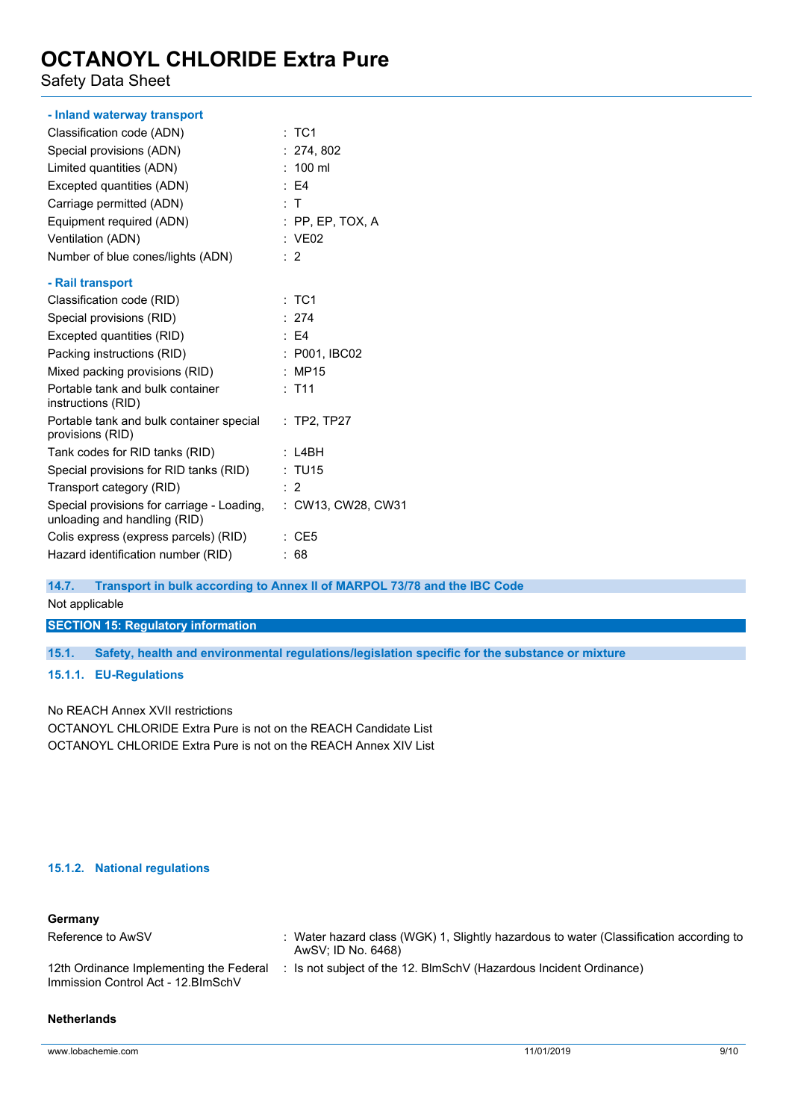Safety Data Sheet

| - Inland waterway transport                                                |                     |
|----------------------------------------------------------------------------|---------------------|
| Classification code (ADN)                                                  | :TC1                |
| Special provisions (ADN)                                                   | : 274, 802          |
| Limited quantities (ADN)                                                   | $: 100$ ml          |
| Excepted quantities (ADN)                                                  | E4                  |
| Carriage permitted (ADN)                                                   | : T                 |
| Equipment required (ADN)                                                   | $:$ PP, EP, TOX, A  |
| Ventilation (ADN)                                                          | : VE02              |
| Number of blue cones/lights (ADN)                                          | $\therefore$ 2      |
| - Rail transport                                                           |                     |
| Classification code (RID)                                                  | $:$ TC1             |
| Special provisions (RID)                                                   | : 274               |
| Excepted quantities (RID)                                                  | $\therefore$ E4     |
| Packing instructions (RID)                                                 | : P001, IBC02       |
| Mixed packing provisions (RID)                                             | : MP15              |
| Portable tank and bulk container<br>instructions (RID)                     | $:$ T <sub>11</sub> |
| Portable tank and bulk container special<br>provisions (RID)               | : TP2, TP27         |
| Tank codes for RID tanks (RID)                                             | : LABH              |
| Special provisions for RID tanks (RID)                                     | : TU15              |
| Transport category (RID)                                                   | : 2                 |
| Special provisions for carriage - Loading,<br>unloading and handling (RID) | : CW13, CW28, CW31  |
| Colis express (express parcels) (RID)                                      | $\therefore$ CE5    |
| Hazard identification number (RID)                                         | :68                 |
|                                                                            |                     |

**14.7. Transport in bulk according to Annex II of MARPOL 73/78 and the IBC Code**

Not applicable

**SECTION 15: Regulatory information**

**15.1. Safety, health and environmental regulations/legislation specific for the substance or mixture**

**15.1.1. EU-Regulations**

No REACH Annex XVII restrictions

OCTANOYL CHLORIDE Extra Pure is not on the REACH Candidate List OCTANOYL CHLORIDE Extra Pure is not on the REACH Annex XIV List

#### **15.1.2. National regulations**

| Germany                                                                       |                                                                                                              |
|-------------------------------------------------------------------------------|--------------------------------------------------------------------------------------------------------------|
| Reference to AwSV                                                             | : Water hazard class (WGK) 1, Slightly hazardous to water (Classification according to<br>AwSV; ID No. 6468) |
| 12th Ordinance Implementing the Federal<br>Immission Control Act - 12.BImSchV | : Is not subject of the 12. BlmSchV (Hazardous Incident Ordinance)                                           |

#### **Netherlands**